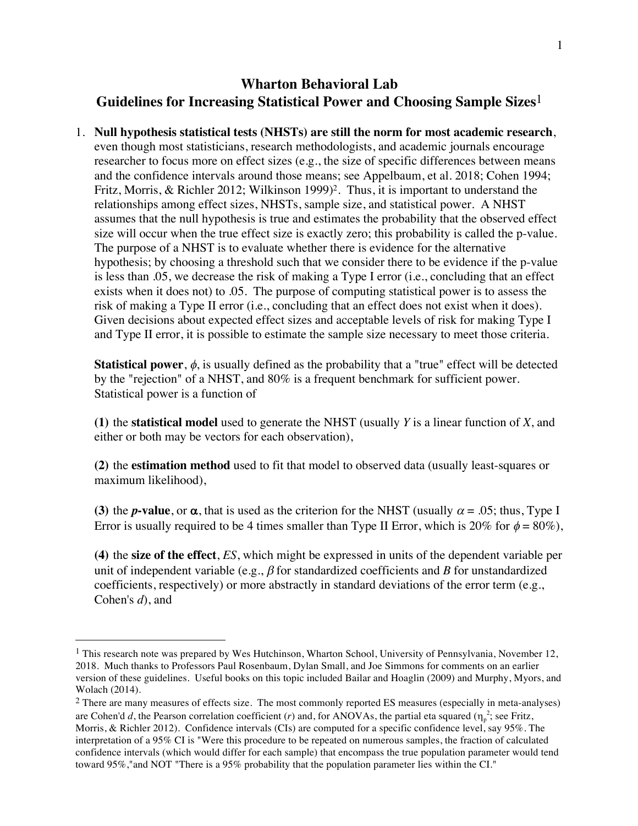## **Wharton Behavioral Lab Guidelines for Increasing Statistical Power and Choosing Sample Sizes**1

1. **Null hypothesis statistical tests (NHSTs) are still the norm for most academic research**, even though most statisticians, research methodologists, and academic journals encourage researcher to focus more on effect sizes (e.g., the size of specific differences between means and the confidence intervals around those means; see Appelbaum, et al. 2018; Cohen 1994; Fritz, Morris, & Richler 2012; Wilkinson 1999)<sup>2</sup>. Thus, it is important to understand the relationships among effect sizes, NHSTs, sample size, and statistical power. A NHST assumes that the null hypothesis is true and estimates the probability that the observed effect size will occur when the true effect size is exactly zero; this probability is called the p-value. The purpose of a NHST is to evaluate whether there is evidence for the alternative hypothesis; by choosing a threshold such that we consider there to be evidence if the p-value is less than .05, we decrease the risk of making a Type I error (i.e., concluding that an effect exists when it does not) to .05. The purpose of computing statistical power is to assess the risk of making a Type II error (i.e., concluding that an effect does not exist when it does). Given decisions about expected effect sizes and acceptable levels of risk for making Type I and Type II error, it is possible to estimate the sample size necessary to meet those criteria.

**Statistical power**,  $\phi$ , is usually defined as the probability that a "true" effect will be detected by the "rejection" of a NHST, and 80% is a frequent benchmark for sufficient power. Statistical power is a function of

**(1)** the **statistical model** used to generate the NHST (usually *Y* is a linear function of *X*, and either or both may be vectors for each observation),

**(2)** the **estimation method** used to fit that model to observed data (usually least-squares or maximum likelihood),

**(3)** the *p***-value**, or  $\alpha$ , that is used as the criterion for the NHST (usually  $\alpha = .05$ ; thus, Type I Error is usually required to be 4 times smaller than Type II Error, which is 20% for  $\phi = 80\%$ ),

**(4)** the **size of the effect**, *ES*, which might be expressed in units of the dependent variable per unit of independent variable (e.g.,  $\beta$  for standardized coefficients and *B* for unstandardized coefficients, respectively) or more abstractly in standard deviations of the error term (e.g., Cohen's *d*), and

<sup>&</sup>lt;sup>1</sup> This research note was prepared by Wes Hutchinson, Wharton School, University of Pennsylvania, November 12, 2018. Much thanks to Professors Paul Rosenbaum, Dylan Small, and Joe Simmons for comments on an earlier version of these guidelines. Useful books on this topic included Bailar and Hoaglin (2009) and Murphy, Myors, and Wolach (2014).

<sup>&</sup>lt;sup>2</sup> There are many measures of effects size. The most commonly reported ES measures (especially in meta-analyses) are Cohen'd d, the Pearson correlation coefficient (*r*) and, for ANOVAs, the partial eta squared ( $\eta_p^2$ ; see Fritz, Morris, & Richler 2012). Confidence intervals (CIs) are computed for a specific confidence level, say 95%. The interpretation of a 95% CI is "Were this procedure to be repeated on numerous samples, the fraction of calculated confidence intervals (which would differ for each sample) that encompass the true population parameter would tend toward 95%,"and NOT "There is a 95% probability that the population parameter lies within the CI."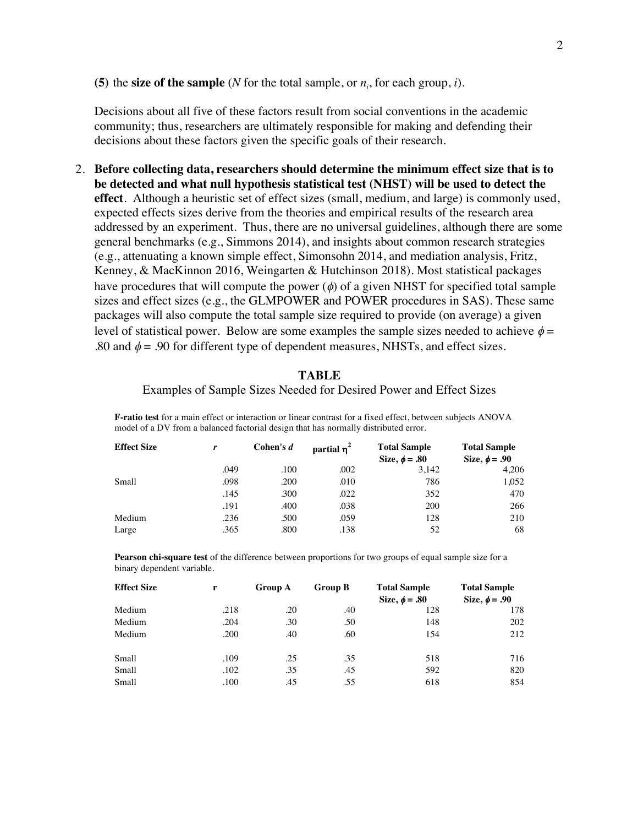## **(5)** the **size of the sample** (*N* for the total sample, or  $n_i$ , for each group, *i*).

Decisions about all five of these factors result from social conventions in the academic community; thus, researchers are ultimately responsible for making and defending their decisions about these factors given the specific goals of their research.

2. **Before collecting data, researchers should determine the minimum effect size that is to be detected and what null hypothesis statistical test (NHST) will be used to detect the effect**. Although a heuristic set of effect sizes (small, medium, and large) is commonly used, expected effects sizes derive from the theories and empirical results of the research area addressed by an experiment. Thus, there are no universal guidelines, although there are some general benchmarks (e.g., Simmons 2014), and insights about common research strategies (e.g., attenuating a known simple effect, Simonsohn 2014, and mediation analysis, Fritz, Kenney, & MacKinnon 2016, Weingarten & Hutchinson 2018). Most statistical packages have procedures that will compute the power  $(\phi)$  of a given NHST for specified total sample sizes and effect sizes (e.g., the GLMPOWER and POWER procedures in SAS). These same packages will also compute the total sample size required to provide (on average) a given level of statistical power. Below are some examples the sample sizes needed to achieve  $\phi =$ .80 and  $\phi$  = .90 for different type of dependent measures, NHSTs, and effect sizes.

## **TABLE**

Examples of Sample Sizes Needed for Desired Power and Effect Sizes

**F-ratio test** for a main effect or interaction or linear contrast for a fixed effect, between subjects ANOVA model of a DV from a balanced factorial design that has normally distributed error.

| <b>Effect Size</b> | r    | Cohen's $d$ | partial $\eta^2$ | <b>Total Sample</b><br>Size, $\phi = .80$ | <b>Total Sample</b><br>Size, $\phi = .90$ |
|--------------------|------|-------------|------------------|-------------------------------------------|-------------------------------------------|
|                    | .049 | .100        | .002             | 3,142                                     | 4,206                                     |
| Small              | .098 | .200        | .010             | 786                                       | 1,052                                     |
|                    | .145 | .300        | .022             | 352                                       | 470                                       |
|                    | .191 | .400        | .038             | 200                                       | 266                                       |
| Medium             | .236 | .500        | .059             | 128                                       | 210                                       |
| Large              | .365 | .800        | .138             | 52                                        | 68                                        |

**Pearson chi-square test** of the difference between proportions for two groups of equal sample size for a binary dependent variable.

| <b>Effect Size</b> | r    | <b>Group A</b> | <b>Group B</b> | <b>Total Sample</b><br>Size, $\phi = .80$ | <b>Total Sample</b><br>Size, $\phi = .90$ |
|--------------------|------|----------------|----------------|-------------------------------------------|-------------------------------------------|
| Medium             | .218 | .20            | .40            | 128                                       | 178                                       |
| Medium             | .204 | .30            | .50            | 148                                       | 202                                       |
| Medium             | .200 | .40            | .60            | 154                                       | 212                                       |
| Small              | .109 | .25            | .35            | 518                                       | 716                                       |
| Small              | .102 | .35            | .45            | 592                                       | 820                                       |
| Small              | .100 | .45            | .55            | 618                                       | 854                                       |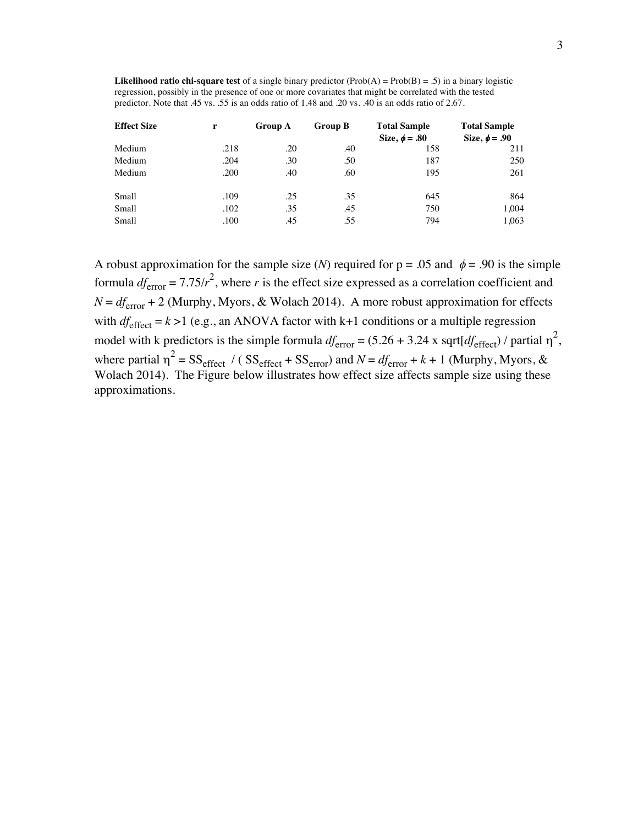**Likelihood ratio chi-square test** of a single binary predictor (Prob(A) = Prob(B) = .5) in a binary logistic regression, possibly in the presence of one or more covariates that might be correlated with the tested predictor. Note that .45 vs. .55 is an odds ratio of 1.48 and .20 vs. .40 is an odds ratio of 2.67.

| <b>Effect Size</b> | r    | <b>Group A</b> | <b>Group B</b> | <b>Total Sample</b><br>Size, $\phi = .80$ | <b>Total Sample</b><br>Size, $\phi = .90$ |
|--------------------|------|----------------|----------------|-------------------------------------------|-------------------------------------------|
| Medium             | .218 | .20            | .40            | 158                                       | 211                                       |
| Medium             | .204 | .30            | .50            | 187                                       | 250                                       |
| Medium             | .200 | .40            | .60            | 195                                       | 261                                       |
| Small              | .109 | .25            | .35            | 645                                       | 864                                       |
| Small              | .102 | .35            | .45            | 750                                       | 1.004                                     |
| Small              | .100 | .45            | .55            | 794                                       | 1,063                                     |

A robust approximation for the sample size (*N*) required for  $p = .05$  and  $\phi = .90$  is the simple formula  $df_{error} = 7.75/r^2$ , where *r* is the effect size expressed as a correlation coefficient and  $N = df_{\text{error}} + 2$  (Murphy, Myors, & Wolach 2014). A more robust approximation for effects with  $df_{\text{effect}} = k > 1$  (e.g., an ANOVA factor with k+1 conditions or a multiple regression model with k predictors is the simple formula  $df_{\text{error}} = (5.26 + 3.24 \text{ x} \text{ sqrt}[df_{\text{effect}}]/\text{ partial } \eta^2$ , where partial  $\eta^2 = SS_{\text{effect}} / (SS_{\text{effect}} + SS_{\text{error}})$  and  $N = df_{\text{error}} + k + 1$  (Murphy, Myors, & Wolach 2014). The Figure below illustrates how effect size affects sample size using these approximations.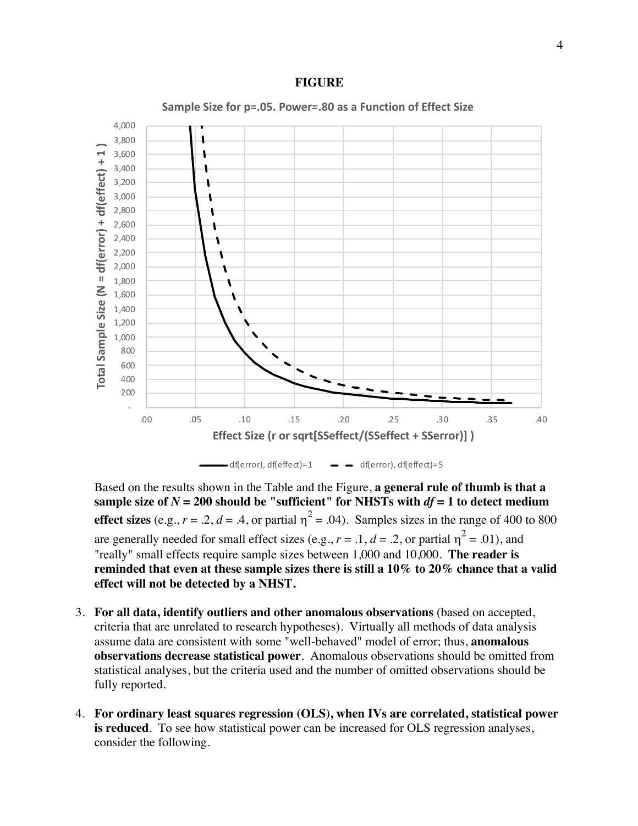



Based on the results shown in the Table and the Figure, **a general rule of thumb is that a**  sample size of  $N = 200$  should be "sufficient" for NHSTs with  $df = 1$  to detect medium **effect sizes** (e.g.,  $r = .2$ ,  $d = .4$ , or partial  $\eta^2 = .04$ ). Samples sizes in the range of 400 to 800 are generally needed for small effect sizes (e.g.,  $r = .1$ ,  $d = .2$ , or partial  $\eta^2 = .01$ ), and "really" small effects require sample sizes between 1,000 and 10,000. **The reader is reminded that even at these sample sizes there is still a 10% to 20% chance that a valid effect will not be detected by a NHST.**

- 3. **For all data, identify outliers and other anomalous observations** (based on accepted, criteria that are unrelated to research hypotheses). Virtually all methods of data analysis assume data are consistent with some "well-behaved" model of error; thus, **anomalous observations decrease statistical power**. Anomalous observations should be omitted from statistical analyses, but the criteria used and the number of omitted observations should be fully reported.
- 4. **For ordinary least squares regression (OLS), when IVs are correlated, statistical power is reduced**. To see how statistical power can be increased for OLS regression analyses, consider the following.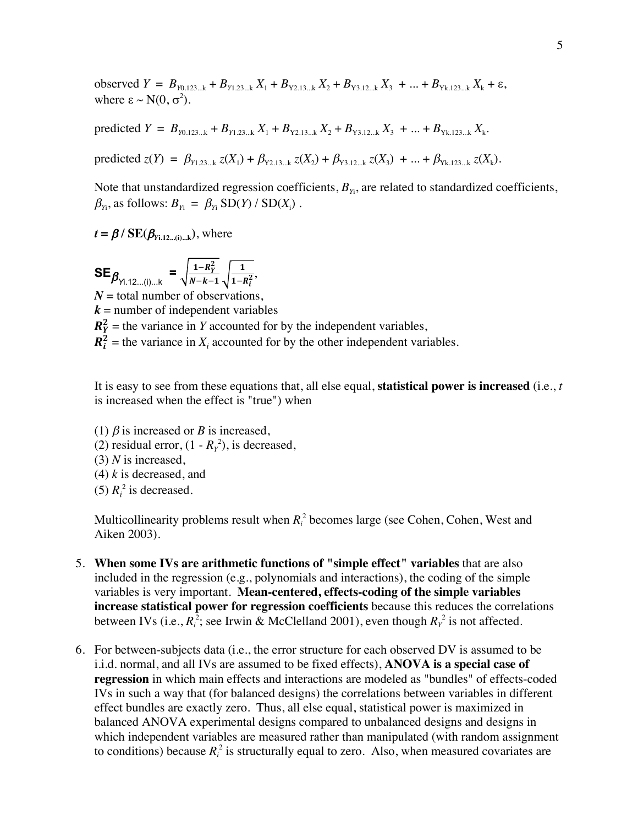observed  $Y = B_{Y0.123...k} + B_{Y1.23...k} X_1 + B_{Y2.13...k} X_2 + B_{Y3.12...k} X_3 + ... + B_{Yk.123...k} X_k + \varepsilon$ , where  $\epsilon \sim N(0, \sigma^2)$ .

predicted  $Y = B_{y_{0.123...k}} + B_{y_{1.23...k}} X_1 + B_{y_{2.13...k}} X_2 + B_{y_{3.12...k}} X_3 + ... + B_{y_{k.123...k}} X_k$ .

predicted  $z(Y) = \beta_{Y_1, 23}$ ...k  $z(X_1) + \beta_{Y_2, 13}$ ...k  $z(X_2) + \beta_{Y_3, 12}$ ...k  $z(X_3) + \ldots + \beta_{Y_{k-1}, 23}$ ...k  $z(X_k)$ .

Note that unstandardized regression coefficients,  $B_{Y_i}$ , are related to standardized coefficients,  $\beta_{Y_i}$ , as follows:  $B_{Y_i} = \beta_{Y_i}$  SD(*Y*) / SD(*X*<sub>i</sub>).

 $t = \beta$  / **SE**( $\beta_{Y_i, 12 \dots (i) \dots k}$ ), where

 $\textsf{SE}_{\beta_{\gamma_{1.12...(i)...k}}} = \sqrt{\frac{1 - R_Y^2}{N - k - 1}}$  $N-k-1$ 1  $\frac{1}{1-R_i^2}$  $N =$  total number of observations,  $k =$  number of independent variables  $R_Y^2$  = the variance in *Y* accounted for by the independent variables,  $R_i^2$  = the variance in  $X_i$  accounted for by the other independent variables.

It is easy to see from these equations that, all else equal, **statistical power is increased** (i.e., *t* is increased when the effect is "true") when

(1)  $\beta$  is increased or *B* is increased, (2) residual error,  $(1 - R_Y^2)$ , is decreased, (3) *N* is increased, (4) *k* is decreased, and (5)  $R_i^2$  is decreased.

Multicollinearity problems result when  $R_i^2$  becomes large (see Cohen, Cohen, West and Aiken 2003).

- 5. **When some IVs are arithmetic functions of "simple effect" variables** that are also included in the regression (e.g., polynomials and interactions), the coding of the simple variables is very important. **Mean-centered, effects-coding of the simple variables increase statistical power for regression coefficients** because this reduces the correlations between IVs (i.e.,  $R_i^2$ ; see Irwin & McClelland 2001), even though  $R_Y^2$  is not affected.
- 6. For between-subjects data (i.e., the error structure for each observed DV is assumed to be i.i.d. normal, and all IVs are assumed to be fixed effects), **ANOVA is a special case of regression** in which main effects and interactions are modeled as "bundles" of effects-coded IVs in such a way that (for balanced designs) the correlations between variables in different effect bundles are exactly zero. Thus, all else equal, statistical power is maximized in balanced ANOVA experimental designs compared to unbalanced designs and designs in which independent variables are measured rather than manipulated (with random assignment to conditions) because  $R_i^2$  is structurally equal to zero. Also, when measured covariates are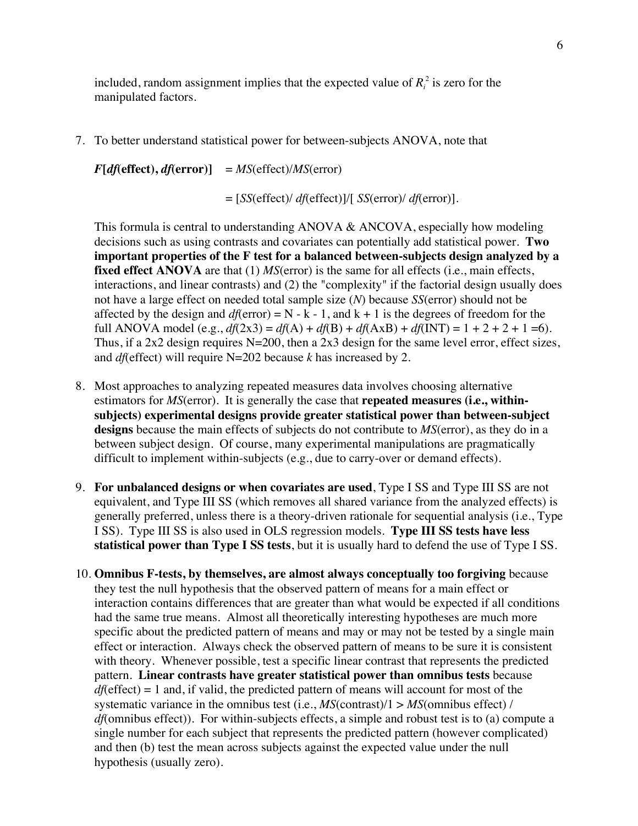included, random assignment implies that the expected value of  $R_i^2$  is zero for the manipulated factors.

7. To better understand statistical power for between-subjects ANOVA, note that

 $F[df(\text{effect}), df(\text{error})] = MS(\text{effect})/MS(\text{error})$ 

= [*SS*(effect)/ *df*(effect)]/[ *SS*(error)/ *df*(error)].

This formula is central to understanding ANOVA & ANCOVA, especially how modeling decisions such as using contrasts and covariates can potentially add statistical power. **Two important properties of the F test for a balanced between-subjects design analyzed by a fixed effect ANOVA** are that (1) *MS*(error) is the same for all effects (i.e., main effects, interactions, and linear contrasts) and (2) the "complexity" if the factorial design usually does not have a large effect on needed total sample size (*N*) because *SS*(error) should not be affected by the design and  $df(\text{error}) = N - k - 1$ , and  $k + 1$  is the degrees of freedom for the full ANOVA model (e.g.,  $df(2x3) = df(A) + df(B) + df(AxB) + df(NT) = 1 + 2 + 2 + 1 = 6$ ). Thus, if a 2x2 design requires  $N=200$ , then a 2x3 design for the same level error, effect sizes, and *df*(effect) will require N=202 because *k* has increased by 2.

- 8. Most approaches to analyzing repeated measures data involves choosing alternative estimators for *MS*(error). It is generally the case that **repeated measures (i.e., withinsubjects) experimental designs provide greater statistical power than between-subject designs** because the main effects of subjects do not contribute to *MS*(error), as they do in a between subject design. Of course, many experimental manipulations are pragmatically difficult to implement within-subjects (e.g., due to carry-over or demand effects).
- 9. **For unbalanced designs or when covariates are used**, Type I SS and Type III SS are not equivalent, and Type III SS (which removes all shared variance from the analyzed effects) is generally preferred, unless there is a theory-driven rationale for sequential analysis (i.e., Type I SS). Type III SS is also used in OLS regression models. **Type III SS tests have less statistical power than Type I SS tests**, but it is usually hard to defend the use of Type I SS.
- 10. **Omnibus F-tests, by themselves, are almost always conceptually too forgiving** because they test the null hypothesis that the observed pattern of means for a main effect or interaction contains differences that are greater than what would be expected if all conditions had the same true means. Almost all theoretically interesting hypotheses are much more specific about the predicted pattern of means and may or may not be tested by a single main effect or interaction. Always check the observed pattern of means to be sure it is consistent with theory. Whenever possible, test a specific linear contrast that represents the predicted pattern. **Linear contrasts have greater statistical power than omnibus tests** because *df*(effect) = 1 and, if valid, the predicted pattern of means will account for most of the systematic variance in the omnibus test (i.e.,  $MS$ (contrast)/ $1 > MS$ (omnibus effect) / *df*(omnibus effect)). For within-subjects effects, a simple and robust test is to (a) compute a single number for each subject that represents the predicted pattern (however complicated) and then (b) test the mean across subjects against the expected value under the null hypothesis (usually zero).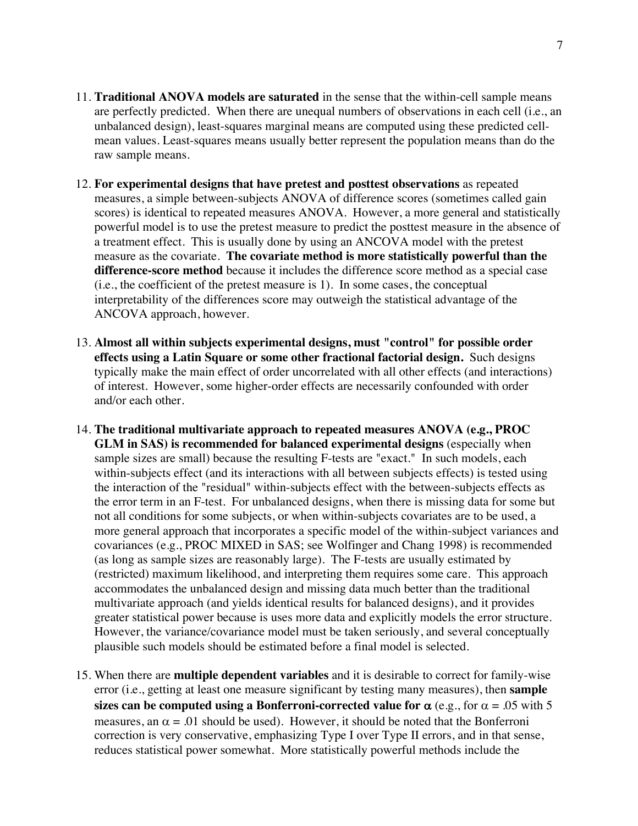- 11. **Traditional ANOVA models are saturated** in the sense that the within-cell sample means are perfectly predicted. When there are unequal numbers of observations in each cell (i.e., an unbalanced design), least-squares marginal means are computed using these predicted cellmean values. Least-squares means usually better represent the population means than do the raw sample means.
- 12. **For experimental designs that have pretest and posttest observations** as repeated measures, a simple between-subjects ANOVA of difference scores (sometimes called gain scores) is identical to repeated measures ANOVA. However, a more general and statistically powerful model is to use the pretest measure to predict the posttest measure in the absence of a treatment effect. This is usually done by using an ANCOVA model with the pretest measure as the covariate. **The covariate method is more statistically powerful than the difference-score method** because it includes the difference score method as a special case (i.e., the coefficient of the pretest measure is 1). In some cases, the conceptual interpretability of the differences score may outweigh the statistical advantage of the ANCOVA approach, however.
- 13. **Almost all within subjects experimental designs, must "control" for possible order effects using a Latin Square or some other fractional factorial design.** Such designs typically make the main effect of order uncorrelated with all other effects (and interactions) of interest. However, some higher-order effects are necessarily confounded with order and/or each other.
- 14. **The traditional multivariate approach to repeated measures ANOVA (e.g., PROC GLM in SAS) is recommended for balanced experimental designs** (especially when sample sizes are small) because the resulting F-tests are "exact." In such models, each within-subjects effect (and its interactions with all between subjects effects) is tested using the interaction of the "residual" within-subjects effect with the between-subjects effects as the error term in an F-test. For unbalanced designs, when there is missing data for some but not all conditions for some subjects, or when within-subjects covariates are to be used, a more general approach that incorporates a specific model of the within-subject variances and covariances (e.g., PROC MIXED in SAS; see Wolfinger and Chang 1998) is recommended (as long as sample sizes are reasonably large). The F-tests are usually estimated by (restricted) maximum likelihood, and interpreting them requires some care. This approach accommodates the unbalanced design and missing data much better than the traditional multivariate approach (and yields identical results for balanced designs), and it provides greater statistical power because is uses more data and explicitly models the error structure. However, the variance/covariance model must be taken seriously, and several conceptually plausible such models should be estimated before a final model is selected.
- 15. When there are **multiple dependent variables** and it is desirable to correct for family-wise error (i.e., getting at least one measure significant by testing many measures), then **sample** sizes can be computed using a Bonferroni-corrected value for  $\alpha$  (e.g., for  $\alpha = .05$  with 5 measures, an  $\alpha = 0.01$  should be used). However, it should be noted that the Bonferroni correction is very conservative, emphasizing Type I over Type II errors, and in that sense, reduces statistical power somewhat. More statistically powerful methods include the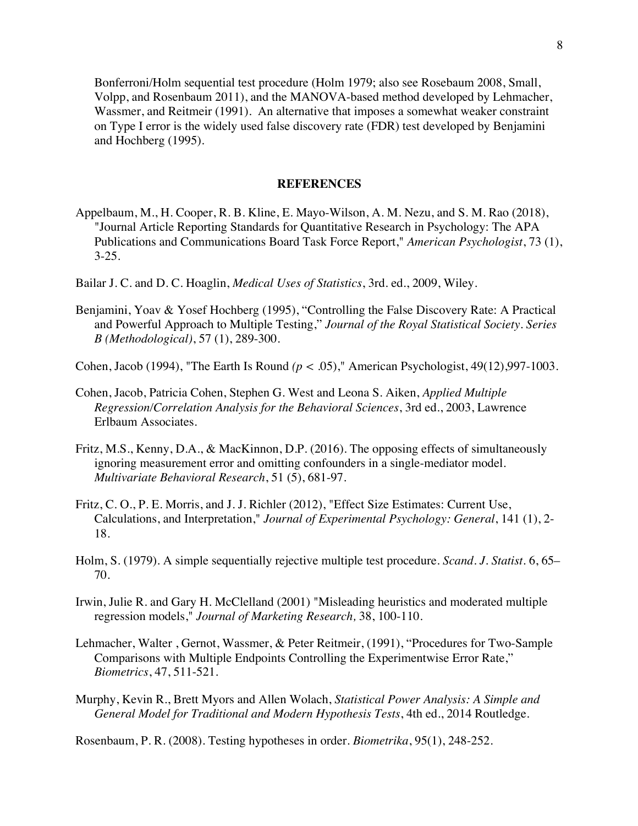Bonferroni/Holm sequential test procedure (Holm 1979; also see Rosebaum 2008, Small, Volpp, and Rosenbaum 2011), and the MANOVA-based method developed by Lehmacher, Wassmer, and Reitmeir (1991). An alternative that imposes a somewhat weaker constraint on Type I error is the widely used false discovery rate (FDR) test developed by Benjamini and Hochberg (1995).

## **REFERENCES**

- Appelbaum, M., H. Cooper, R. B. Kline, E. Mayo-Wilson, A. M. Nezu, and S. M. Rao (2018), "Journal Article Reporting Standards for Quantitative Research in Psychology: The APA Publications and Communications Board Task Force Report," *American Psychologist*, 73 (1), 3-25.
- Bailar J. C. and D. C. Hoaglin, *Medical Uses of Statistics*, 3rd. ed., 2009, Wiley.
- Benjamini, Yoav & Yosef Hochberg (1995), "Controlling the False Discovery Rate: A Practical and Powerful Approach to Multiple Testing," *Journal of the Royal Statistical Society. Series B (Methodological)*, 57 (1), 289-300.
- Cohen, Jacob (1994), "The Earth Is Round *(p <* .05)," American Psychologist, 49(12),997-1003.
- Cohen, Jacob, Patricia Cohen, Stephen G. West and Leona S. Aiken, *Applied Multiple Regression/Correlation Analysis for the Behavioral Sciences*, 3rd ed., 2003, Lawrence Erlbaum Associates.
- Fritz, M.S., Kenny, D.A., & MacKinnon, D.P. (2016). The opposing effects of simultaneously ignoring measurement error and omitting confounders in a single-mediator model. *Multivariate Behavioral Research*, 51 (5), 681-97.
- Fritz, C. O., P. E. Morris, and J. J. Richler (2012), "Effect Size Estimates: Current Use, Calculations, and Interpretation," *Journal of Experimental Psychology: General*, 141 (1), 2- 18.
- Holm, S. (1979). A simple sequentially rejective multiple test procedure. *Scand. J. Statist*. 6, 65– 70.
- Irwin, Julie R. and Gary H. McClelland (2001) "Misleading heuristics and moderated multiple regression models," *Journal of Marketing Research,* 38, 100-110.
- Lehmacher, Walter , Gernot, Wassmer, & Peter Reitmeir, (1991), "Procedures for Two-Sample Comparisons with Multiple Endpoints Controlling the Experimentwise Error Rate," *Biometrics*, 47, 511-521.
- Murphy, Kevin R., Brett Myors and Allen Wolach, *Statistical Power Analysis: A Simple and General Model for Traditional and Modern Hypothesis Tests*, 4th ed., 2014 Routledge.

Rosenbaum, P. R. (2008). Testing hypotheses in order. *Biometrika*, 95(1), 248-252.